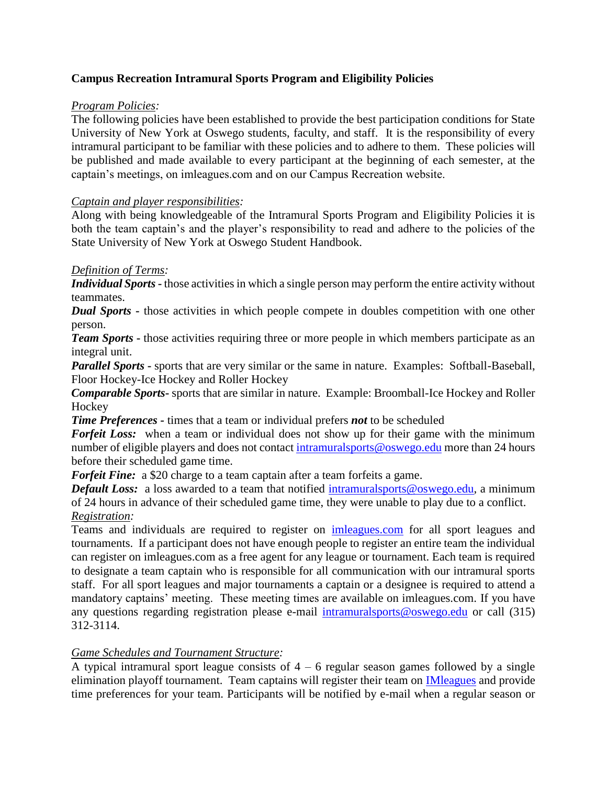# **Campus Recreation Intramural Sports Program and Eligibility Policies**

### *Program Policies:*

The following policies have been established to provide the best participation conditions for State University of New York at Oswego students, faculty, and staff. It is the responsibility of every intramural participant to be familiar with these policies and to adhere to them. These policies will be published and made available to every participant at the beginning of each semester, at the captain's meetings, on imleagues.com and on our Campus Recreation website.

### *Captain and player responsibilities:*

Along with being knowledgeable of the Intramural Sports Program and Eligibility Policies it is both the team captain's and the player's responsibility to read and adhere to the policies of the State University of New York at Oswego Student Handbook.

### *Definition of Terms:*

*Individual Sports* **-** those activities in which a single person may perform the entire activity without teammates.

*Dual Sports* **-** those activities in which people compete in doubles competition with one other person.

*Team Sports* - those activities requiring three or more people in which members participate as an integral unit.

*Parallel Sports* **-** sports that are very similar or the same in nature. Examples: Softball-Baseball, Floor Hockey-Ice Hockey and Roller Hockey

*Comparable Sports***-** sports that are similar in nature. Example: Broomball-Ice Hockey and Roller **Hockey** 

*Time Preferences -* times that a team or individual prefers *not* to be scheduled

*Forfeit Loss:* when a team or individual does not show up for their game with the minimum number of eligible players and does not contact [intramuralsports@oswego.edu](mailto:intramuralsports@oswego.edu) more than 24 hours before their scheduled game time.

*Forfeit Fine:* a \$20 charge to a team captain after a team forfeits a game.

*Default Loss:* a loss awarded to a team that notified [intramuralsports@oswego.edu,](mailto:intramuralsports@oswego.edu) a minimum of 24 hours in advance of their scheduled game time, they were unable to play due to a conflict. *Registration:*

Teams and individuals are required to register on [imleagues.com](http://www.imleagues.com/spa/intramural/d4c9724f62a74e9dadd4157907b84c87/home) for all sport leagues and tournaments. If a participant does not have enough people to register an entire team the individual can register on imleagues.com as a free agent for any league or tournament. Each team is required to designate a team captain who is responsible for all communication with our intramural sports staff. For all sport leagues and major tournaments a captain or a designee is required to attend a mandatory captains' meeting. These meeting times are available on imleagues.com. If you have any questions regarding registration please e-mail [intramuralsports@oswego.edu](mailto:intramuralsports@oswego.edu) or call (315) 312-3114.

#### *Game Schedules and Tournament Structure:*

A typical intramural sport league consists of  $4 - 6$  regular season games followed by a single elimination playoff tournament. Team captains will register their team on [IMleagues](http://www.imleagues.com/spa/intramural/d4c9724f62a74e9dadd4157907b84c87/home) and provide time preferences for your team. Participants will be notified by e-mail when a regular season or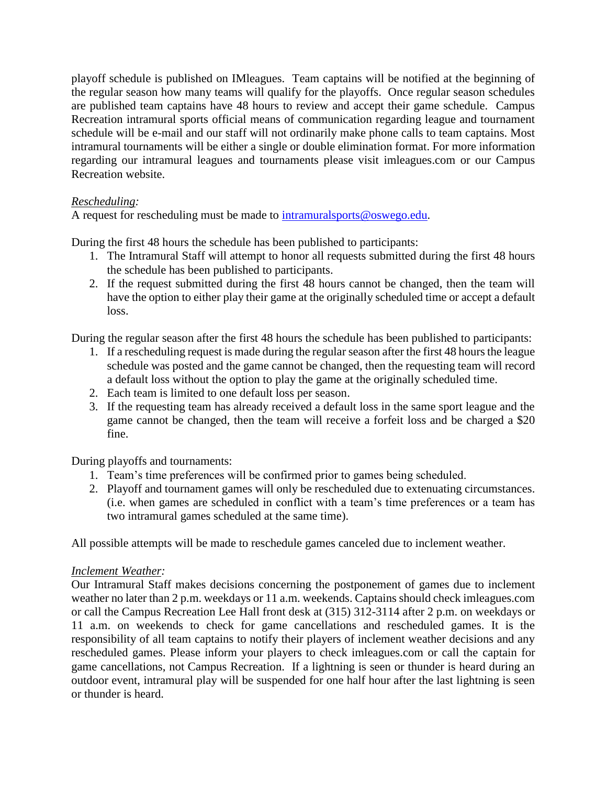playoff schedule is published on IMleagues. Team captains will be notified at the beginning of the regular season how many teams will qualify for the playoffs. Once regular season schedules are published team captains have 48 hours to review and accept their game schedule. Campus Recreation intramural sports official means of communication regarding league and tournament schedule will be e-mail and our staff will not ordinarily make phone calls to team captains. Most intramural tournaments will be either a single or double elimination format. For more information regarding our intramural leagues and tournaments please visit imleagues.com or our Campus Recreation website.

## *Rescheduling:*

A request for rescheduling must be made to [intramuralsports@oswego.edu.](mailto:intramuralsports@oswego.edu)

During the first 48 hours the schedule has been published to participants:

- 1. The Intramural Staff will attempt to honor all requests submitted during the first 48 hours the schedule has been published to participants.
- 2. If the request submitted during the first 48 hours cannot be changed, then the team will have the option to either play their game at the originally scheduled time or accept a default loss.

During the regular season after the first 48 hours the schedule has been published to participants:

- 1. If a rescheduling request is made during the regular season after the first 48 hours the league schedule was posted and the game cannot be changed, then the requesting team will record a default loss without the option to play the game at the originally scheduled time.
- 2. Each team is limited to one default loss per season.
- 3. If the requesting team has already received a default loss in the same sport league and the game cannot be changed, then the team will receive a forfeit loss and be charged a \$20 fine.

During playoffs and tournaments:

- 1. Team's time preferences will be confirmed prior to games being scheduled.
- 2. Playoff and tournament games will only be rescheduled due to extenuating circumstances. (i.e. when games are scheduled in conflict with a team's time preferences or a team has two intramural games scheduled at the same time).

All possible attempts will be made to reschedule games canceled due to inclement weather.

#### *Inclement Weather:*

Our Intramural Staff makes decisions concerning the postponement of games due to inclement weather no later than 2 p.m. weekdays or 11 a.m. weekends. Captains should check imleagues.com or call the Campus Recreation Lee Hall front desk at (315) 312-3114 after 2 p.m. on weekdays or 11 a.m. on weekends to check for game cancellations and rescheduled games. It is the responsibility of all team captains to notify their players of inclement weather decisions and any rescheduled games. Please inform your players to check imleagues.com or call the captain for game cancellations, not Campus Recreation. If a lightning is seen or thunder is heard during an outdoor event, intramural play will be suspended for one half hour after the last lightning is seen or thunder is heard.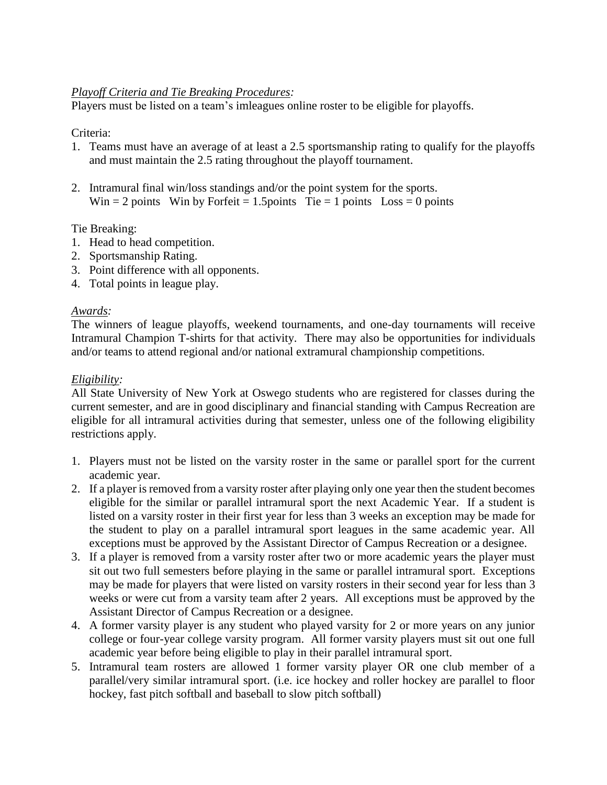### *Playoff Criteria and Tie Breaking Procedures:*

Players must be listed on a team's imleagues online roster to be eligible for playoffs.

### Criteria:

- 1. Teams must have an average of at least a 2.5 sportsmanship rating to qualify for the playoffs and must maintain the 2.5 rating throughout the playoff tournament.
- 2. Intramural final win/loss standings and/or the point system for the sports. Win = 2 points Win by Forfeit = 1.5 points Tie = 1 points  $Loss = 0$  points

### Tie Breaking:

- 1. Head to head competition.
- 2. Sportsmanship Rating.
- 3. Point difference with all opponents.
- 4. Total points in league play.

## *Awards:*

The winners of league playoffs, weekend tournaments, and one-day tournaments will receive Intramural Champion T-shirts for that activity. There may also be opportunities for individuals and/or teams to attend regional and/or national extramural championship competitions.

### *Eligibility:*

All State University of New York at Oswego students who are registered for classes during the current semester, and are in good disciplinary and financial standing with Campus Recreation are eligible for all intramural activities during that semester, unless one of the following eligibility restrictions apply.

- 1. Players must not be listed on the varsity roster in the same or parallel sport for the current academic year.
- 2. If a player is removed from a varsity roster after playing only one year then the student becomes eligible for the similar or parallel intramural sport the next Academic Year. If a student is listed on a varsity roster in their first year for less than 3 weeks an exception may be made for the student to play on a parallel intramural sport leagues in the same academic year. All exceptions must be approved by the Assistant Director of Campus Recreation or a designee.
- 3. If a player is removed from a varsity roster after two or more academic years the player must sit out two full semesters before playing in the same or parallel intramural sport. Exceptions may be made for players that were listed on varsity rosters in their second year for less than 3 weeks or were cut from a varsity team after 2 years. All exceptions must be approved by the Assistant Director of Campus Recreation or a designee.
- 4. A former varsity player is any student who played varsity for 2 or more years on any junior college or four-year college varsity program. All former varsity players must sit out one full academic year before being eligible to play in their parallel intramural sport.
- 5. Intramural team rosters are allowed 1 former varsity player OR one club member of a parallel/very similar intramural sport. (i.e. ice hockey and roller hockey are parallel to floor hockey, fast pitch softball and baseball to slow pitch softball)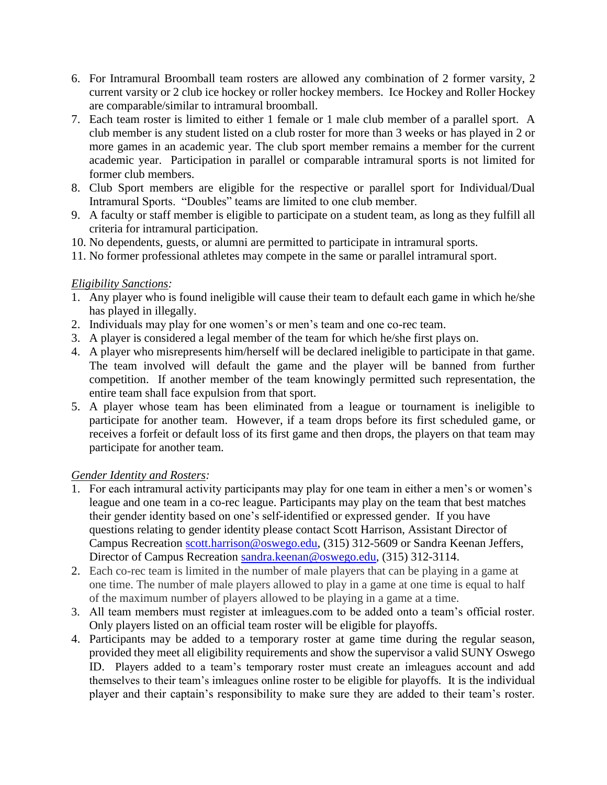- 6. For Intramural Broomball team rosters are allowed any combination of 2 former varsity, 2 current varsity or 2 club ice hockey or roller hockey members. Ice Hockey and Roller Hockey are comparable/similar to intramural broomball.
- 7. Each team roster is limited to either 1 female or 1 male club member of a parallel sport. A club member is any student listed on a club roster for more than 3 weeks or has played in 2 or more games in an academic year. The club sport member remains a member for the current academic year. Participation in parallel or comparable intramural sports is not limited for former club members.
- 8. Club Sport members are eligible for the respective or parallel sport for Individual/Dual Intramural Sports. "Doubles" teams are limited to one club member.
- 9. A faculty or staff member is eligible to participate on a student team, as long as they fulfill all criteria for intramural participation.
- 10. No dependents, guests, or alumni are permitted to participate in intramural sports.
- 11. No former professional athletes may compete in the same or parallel intramural sport.

## *Eligibility Sanctions:*

- 1. Any player who is found ineligible will cause their team to default each game in which he/she has played in illegally.
- 2. Individuals may play for one women's or men's team and one co-rec team.
- 3. A player is considered a legal member of the team for which he/she first plays on.
- 4. A player who misrepresents him/herself will be declared ineligible to participate in that game. The team involved will default the game and the player will be banned from further competition. If another member of the team knowingly permitted such representation, the entire team shall face expulsion from that sport.
- 5. A player whose team has been eliminated from a league or tournament is ineligible to participate for another team. However, if a team drops before its first scheduled game, or receives a forfeit or default loss of its first game and then drops, the players on that team may participate for another team.

## *Gender Identity and Rosters:*

- 1. For each intramural activity participants may play for one team in either a men's or women's league and one team in a co-rec league. Participants may play on the team that best matches their gender identity based on one's self-identified or expressed gender. If you have questions relating to gender identity please contact Scott Harrison, Assistant Director of Campus Recreation [scott.harrison@oswego.edu,](mailto:scott.harrison@oswego.edu) (315) 312-5609 or Sandra Keenan Jeffers, Director of Campus Recreation [sandra.keenan@oswego.edu,](mailto:sandra.keenan@oswego.edu) (315) 312-3114.
- 2. Each co-rec team is limited in the number of male players that can be playing in a game at one time. The number of male players allowed to play in a game at one time is equal to half of the maximum number of players allowed to be playing in a game at a time.
- 3. All team members must register at imleagues.com to be added onto a team's official roster. Only players listed on an official team roster will be eligible for playoffs.
- 4. Participants may be added to a temporary roster at game time during the regular season, provided they meet all eligibility requirements and show the supervisor a valid SUNY Oswego ID. Players added to a team's temporary roster must create an imleagues account and add themselves to their team's imleagues online roster to be eligible for playoffs. It is the individual player and their captain's responsibility to make sure they are added to their team's roster.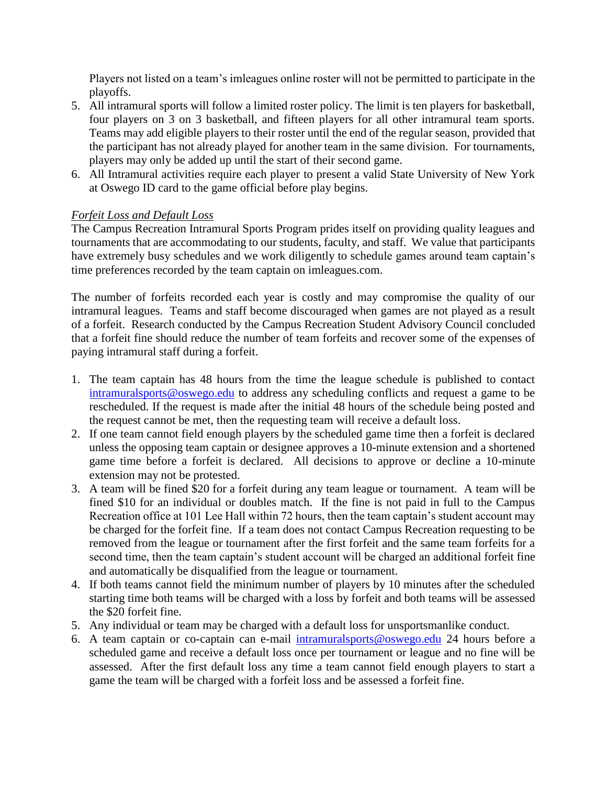Players not listed on a team's imleagues online roster will not be permitted to participate in the playoffs.

- 5. All intramural sports will follow a limited roster policy. The limit is ten players for basketball, four players on 3 on 3 basketball, and fifteen players for all other intramural team sports. Teams may add eligible players to their roster until the end of the regular season, provided that the participant has not already played for another team in the same division. For tournaments, players may only be added up until the start of their second game.
- 6. All Intramural activities require each player to present a valid State University of New York at Oswego ID card to the game official before play begins.

## *Forfeit Loss and Default Loss*

The Campus Recreation Intramural Sports Program prides itself on providing quality leagues and tournaments that are accommodating to our students, faculty, and staff. We value that participants have extremely busy schedules and we work diligently to schedule games around team captain's time preferences recorded by the team captain on imleagues.com.

The number of forfeits recorded each year is costly and may compromise the quality of our intramural leagues. Teams and staff become discouraged when games are not played as a result of a forfeit. Research conducted by the Campus Recreation Student Advisory Council concluded that a forfeit fine should reduce the number of team forfeits and recover some of the expenses of paying intramural staff during a forfeit.

- 1. The team captain has 48 hours from the time the league schedule is published to contact [intramuralsports@oswego.edu](mailto:intramuralsports@oswego.edu) to address any scheduling conflicts and request a game to be rescheduled. If the request is made after the initial 48 hours of the schedule being posted and the request cannot be met, then the requesting team will receive a default loss.
- 2. If one team cannot field enough players by the scheduled game time then a forfeit is declared unless the opposing team captain or designee approves a 10-minute extension and a shortened game time before a forfeit is declared. All decisions to approve or decline a 10-minute extension may not be protested.
- 3. A team will be fined \$20 for a forfeit during any team league or tournament. A team will be fined \$10 for an individual or doubles match. If the fine is not paid in full to the Campus Recreation office at 101 Lee Hall within 72 hours, then the team captain's student account may be charged for the forfeit fine. If a team does not contact Campus Recreation requesting to be removed from the league or tournament after the first forfeit and the same team forfeits for a second time, then the team captain's student account will be charged an additional forfeit fine and automatically be disqualified from the league or tournament.
- 4. If both teams cannot field the minimum number of players by 10 minutes after the scheduled starting time both teams will be charged with a loss by forfeit and both teams will be assessed the \$20 forfeit fine.
- 5. Any individual or team may be charged with a default loss for unsportsmanlike conduct.
- 6. A team captain or co-captain can e-mail [intramuralsports@oswego.edu](mailto:intramuralsports@oswego.edu) 24 hours before a scheduled game and receive a default loss once per tournament or league and no fine will be assessed. After the first default loss any time a team cannot field enough players to start a game the team will be charged with a forfeit loss and be assessed a forfeit fine.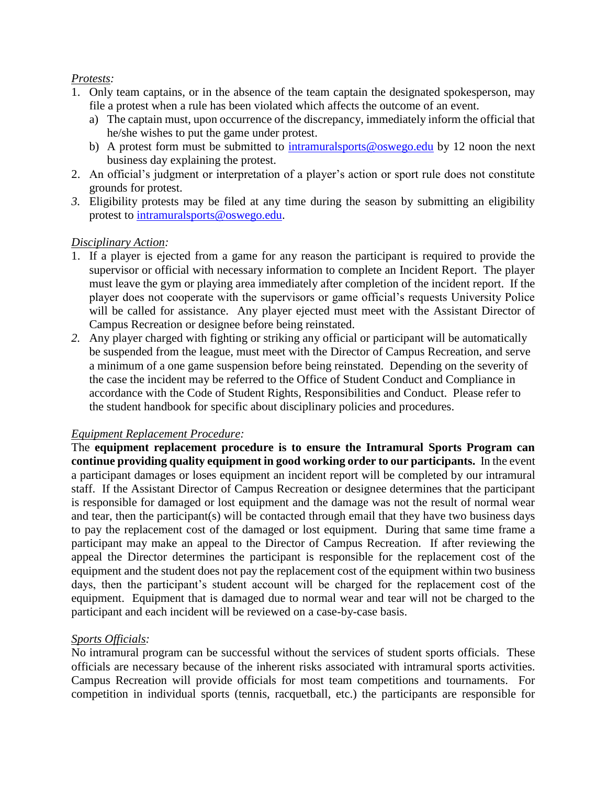### *Protests:*

- 1. Only team captains, or in the absence of the team captain the designated spokesperson, may file a protest when a rule has been violated which affects the outcome of an event.
	- a) The captain must, upon occurrence of the discrepancy, immediately inform the official that he/she wishes to put the game under protest.
	- b) A protest form must be submitted to [intramuralsports@oswego.edu](mailto:intramuralsports@oswego.edu) by 12 noon the next business day explaining the protest.
- 2. An official's judgment or interpretation of a player's action or sport rule does not constitute grounds for protest.
- *3.* Eligibility protests may be filed at any time during the season by submitting an eligibility protest to [intramuralsports@oswego.edu.](mailto:intramuralsports@oswego.edu)

## *Disciplinary Action:*

- 1. If a player is ejected from a game for any reason the participant is required to provide the supervisor or official with necessary information to complete an Incident Report. The player must leave the gym or playing area immediately after completion of the incident report. If the player does not cooperate with the supervisors or game official's requests University Police will be called for assistance. Any player ejected must meet with the Assistant Director of Campus Recreation or designee before being reinstated.
- *2.* Any player charged with fighting or striking any official or participant will be automatically be suspended from the league, must meet with the Director of Campus Recreation, and serve a minimum of a one game suspension before being reinstated. Depending on the severity of the case the incident may be referred to the Office of Student Conduct and Compliance in accordance with the Code of Student Rights, Responsibilities and Conduct. Please refer to the student handbook for specific about disciplinary policies and procedures.

## *Equipment Replacement Procedure:*

The **equipment replacement procedure is to ensure the Intramural Sports Program can continue providing quality equipment in good working order to our participants.** In the event a participant damages or loses equipment an incident report will be completed by our intramural staff. If the Assistant Director of Campus Recreation or designee determines that the participant is responsible for damaged or lost equipment and the damage was not the result of normal wear and tear, then the participant(s) will be contacted through email that they have two business days to pay the replacement cost of the damaged or lost equipment. During that same time frame a participant may make an appeal to the Director of Campus Recreation. If after reviewing the appeal the Director determines the participant is responsible for the replacement cost of the equipment and the student does not pay the replacement cost of the equipment within two business days, then the participant's student account will be charged for the replacement cost of the equipment. Equipment that is damaged due to normal wear and tear will not be charged to the participant and each incident will be reviewed on a case-by-case basis.

## *Sports Officials:*

No intramural program can be successful without the services of student sports officials. These officials are necessary because of the inherent risks associated with intramural sports activities. Campus Recreation will provide officials for most team competitions and tournaments. For competition in individual sports (tennis, racquetball, etc.) the participants are responsible for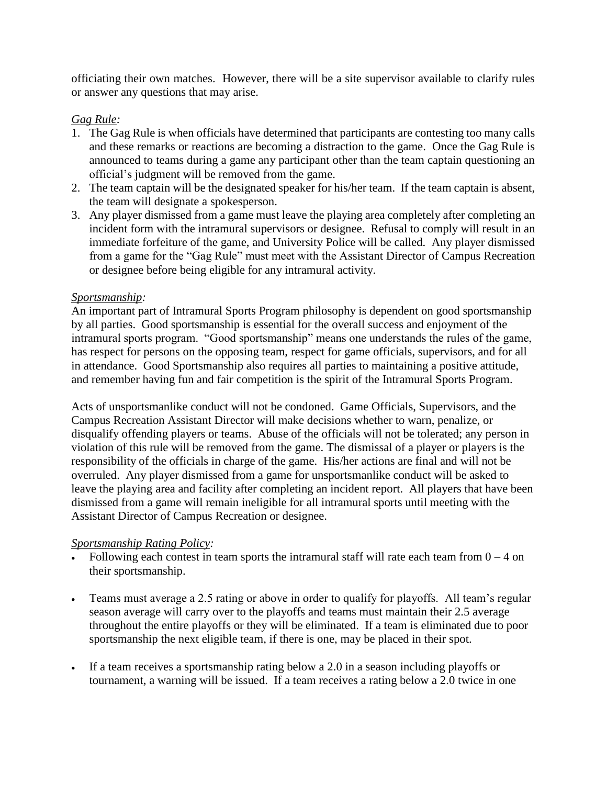officiating their own matches. However, there will be a site supervisor available to clarify rules or answer any questions that may arise.

# *Gag Rule:*

- 1. The Gag Rule is when officials have determined that participants are contesting too many calls and these remarks or reactions are becoming a distraction to the game. Once the Gag Rule is announced to teams during a game any participant other than the team captain questioning an official's judgment will be removed from the game.
- 2. The team captain will be the designated speaker for his/her team. If the team captain is absent, the team will designate a spokesperson.
- 3. Any player dismissed from a game must leave the playing area completely after completing an incident form with the intramural supervisors or designee. Refusal to comply will result in an immediate forfeiture of the game, and University Police will be called. Any player dismissed from a game for the "Gag Rule" must meet with the Assistant Director of Campus Recreation or designee before being eligible for any intramural activity.

### *Sportsmanship:*

An important part of Intramural Sports Program philosophy is dependent on good sportsmanship by all parties. Good sportsmanship is essential for the overall success and enjoyment of the intramural sports program. "Good sportsmanship" means one understands the rules of the game, has respect for persons on the opposing team, respect for game officials, supervisors, and for all in attendance. Good Sportsmanship also requires all parties to maintaining a positive attitude, and remember having fun and fair competition is the spirit of the Intramural Sports Program.

Acts of unsportsmanlike conduct will not be condoned. Game Officials, Supervisors, and the Campus Recreation Assistant Director will make decisions whether to warn, penalize, or disqualify offending players or teams. Abuse of the officials will not be tolerated; any person in violation of this rule will be removed from the game. The dismissal of a player or players is the responsibility of the officials in charge of the game. His/her actions are final and will not be overruled. Any player dismissed from a game for unsportsmanlike conduct will be asked to leave the playing area and facility after completing an incident report. All players that have been dismissed from a game will remain ineligible for all intramural sports until meeting with the Assistant Director of Campus Recreation or designee.

## *Sportsmanship Rating Policy:*

- Following each contest in team sports the intramural staff will rate each team from  $0 4$  on their sportsmanship.
- Teams must average a 2.5 rating or above in order to qualify for playoffs. All team's regular season average will carry over to the playoffs and teams must maintain their 2.5 average throughout the entire playoffs or they will be eliminated. If a team is eliminated due to poor sportsmanship the next eligible team, if there is one, may be placed in their spot.
- If a team receives a sportsmanship rating below a 2.0 in a season including playoffs or tournament, a warning will be issued. If a team receives a rating below a 2.0 twice in one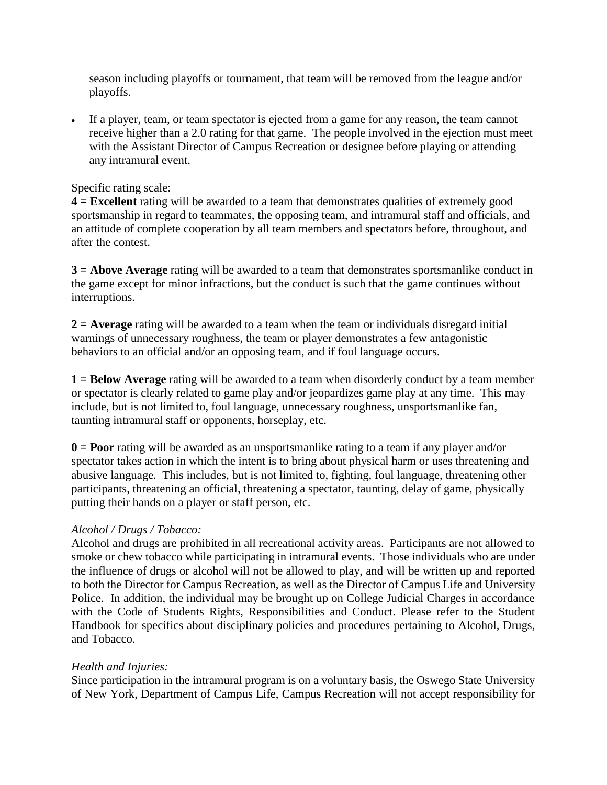season including playoffs or tournament, that team will be removed from the league and/or playoffs.

 If a player, team, or team spectator is ejected from a game for any reason, the team cannot receive higher than a 2.0 rating for that game. The people involved in the ejection must meet with the Assistant Director of Campus Recreation or designee before playing or attending any intramural event.

### Specific rating scale:

**4 = Excellent** rating will be awarded to a team that demonstrates qualities of extremely good sportsmanship in regard to teammates, the opposing team, and intramural staff and officials, and an attitude of complete cooperation by all team members and spectators before, throughout, and after the contest.

**3 = Above Average** rating will be awarded to a team that demonstrates sportsmanlike conduct in the game except for minor infractions, but the conduct is such that the game continues without interruptions.

**2 = Average** rating will be awarded to a team when the team or individuals disregard initial warnings of unnecessary roughness, the team or player demonstrates a few antagonistic behaviors to an official and/or an opposing team, and if foul language occurs.

**1 = Below Average** rating will be awarded to a team when disorderly conduct by a team member or spectator is clearly related to game play and/or jeopardizes game play at any time. This may include, but is not limited to, foul language, unnecessary roughness, unsportsmanlike fan, taunting intramural staff or opponents, horseplay, etc.

**0 = Poor** rating will be awarded as an unsportsmanlike rating to a team if any player and/or spectator takes action in which the intent is to bring about physical harm or uses threatening and abusive language. This includes, but is not limited to, fighting, foul language, threatening other participants, threatening an official, threatening a spectator, taunting, delay of game, physically putting their hands on a player or staff person, etc.

## *Alcohol / Drugs / Tobacco:*

Alcohol and drugs are prohibited in all recreational activity areas. Participants are not allowed to smoke or chew tobacco while participating in intramural events. Those individuals who are under the influence of drugs or alcohol will not be allowed to play, and will be written up and reported to both the Director for Campus Recreation, as well as the Director of Campus Life and University Police. In addition, the individual may be brought up on College Judicial Charges in accordance with the Code of Students Rights, Responsibilities and Conduct. Please refer to the Student Handbook for specifics about disciplinary policies and procedures pertaining to Alcohol, Drugs, and Tobacco.

#### *Health and Injuries:*

Since participation in the intramural program is on a voluntary basis, the Oswego State University of New York, Department of Campus Life, Campus Recreation will not accept responsibility for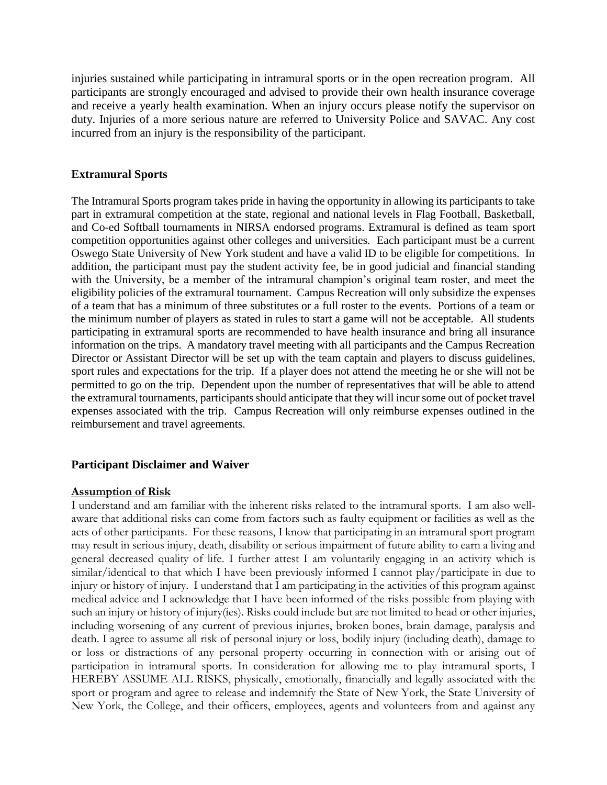injuries sustained while participating in intramural sports or in the open recreation program. All participants are strongly encouraged and advised to provide their own health insurance coverage and receive a yearly health examination. When an injury occurs please notify the supervisor on duty. Injuries of a more serious nature are referred to University Police and SAVAC. Any cost incurred from an injury is the responsibility of the participant.

### **Extramural Sports**

The Intramural Sports program takes pride in having the opportunity in allowing its participants to take part in extramural competition at the state, regional and national levels in Flag Football, Basketball, and Co-ed Softball tournaments in NIRSA endorsed programs. Extramural is defined as team sport competition opportunities against other colleges and universities. Each participant must be a current Oswego State University of New York student and have a valid ID to be eligible for competitions. In addition, the participant must pay the student activity fee, be in good judicial and financial standing with the University, be a member of the intramural champion's original team roster, and meet the eligibility policies of the extramural tournament. Campus Recreation will only subsidize the expenses of a team that has a minimum of three substitutes or a full roster to the events. Portions of a team or the minimum number of players as stated in rules to start a game will not be acceptable. All students participating in extramural sports are recommended to have health insurance and bring all insurance information on the trips. A mandatory travel meeting with all participants and the Campus Recreation Director or Assistant Director will be set up with the team captain and players to discuss guidelines, sport rules and expectations for the trip. If a player does not attend the meeting he or she will not be permitted to go on the trip. Dependent upon the number of representatives that will be able to attend the extramural tournaments, participants should anticipate that they will incur some out of pocket travel expenses associated with the trip. Campus Recreation will only reimburse expenses outlined in the reimbursement and travel agreements.

#### **Participant Disclaimer and Waiver**

#### **Assumption of Risk**

I understand and am familiar with the inherent risks related to the intramural sports. I am also wellaware that additional risks can come from factors such as faulty equipment or facilities as well as the acts of other participants. For these reasons, I know that participating in an intramural sport program may result in serious injury, death, disability or serious impairment of future ability to earn a living and general decreased quality of life. I further attest I am voluntarily engaging in an activity which is similar/identical to that which I have been previously informed I cannot play/participate in due to injury or history of injury. I understand that I am participating in the activities of this program against medical advice and I acknowledge that I have been informed of the risks possible from playing with such an injury or history of injury(ies). Risks could include but are not limited to head or other injuries, including worsening of any current of previous injuries, broken bones, brain damage, paralysis and death. I agree to assume all risk of personal injury or loss, bodily injury (including death), damage to or loss or distractions of any personal property occurring in connection with or arising out of participation in intramural sports. In consideration for allowing me to play intramural sports, I HEREBY ASSUME ALL RISKS, physically, emotionally, financially and legally associated with the sport or program and agree to release and indemnify the State of New York, the State University of New York, the College, and their officers, employees, agents and volunteers from and against any